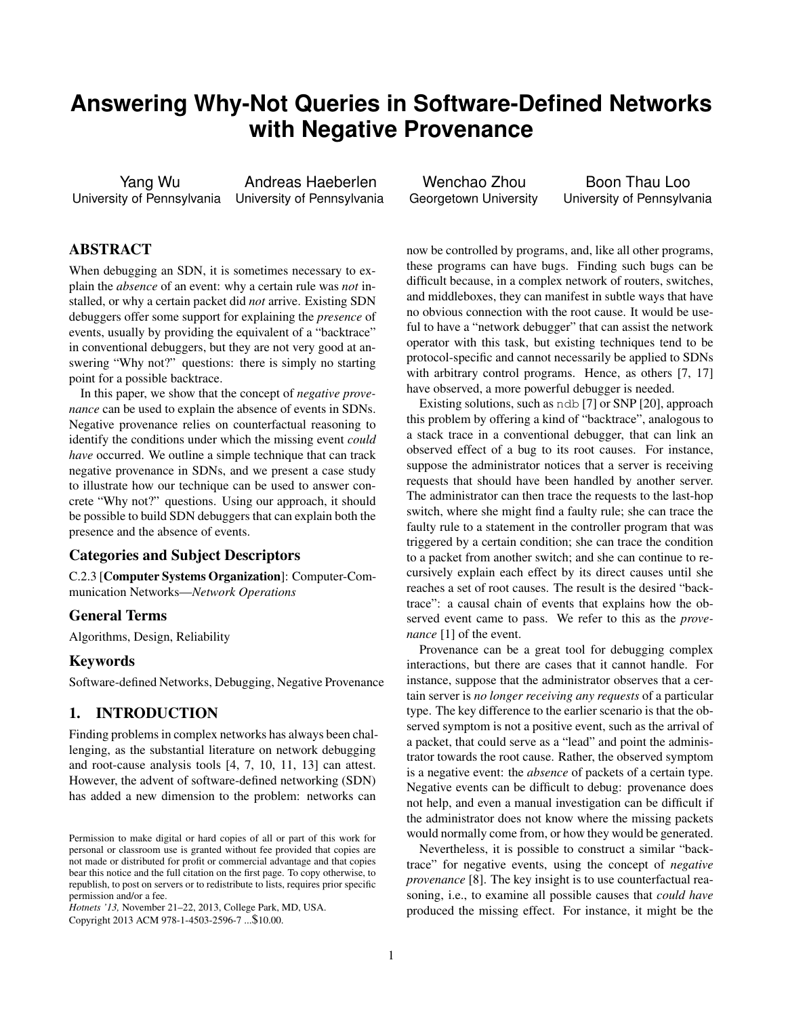# **Answering Why-Not Queries in Software-Defined Networks with Negative Provenance**

University of Pennsylvania University of Pennsylvania Georgetown University University of Pennsylvania

Yang Wu Andreas Haeberlen Wenchao Zhou Boon Thau Loo

# ABSTRACT

When debugging an SDN, it is sometimes necessary to explain the *absence* of an event: why a certain rule was *not* installed, or why a certain packet did *not* arrive. Existing SDN debuggers offer some support for explaining the *presence* of events, usually by providing the equivalent of a "backtrace" in conventional debuggers, but they are not very good at answering "Why not?" questions: there is simply no starting point for a possible backtrace.

In this paper, we show that the concept of *negative provenance* can be used to explain the absence of events in SDNs. Negative provenance relies on counterfactual reasoning to identify the conditions under which the missing event *could have* occurred. We outline a simple technique that can track negative provenance in SDNs, and we present a case study to illustrate how our technique can be used to answer concrete "Why not?" questions. Using our approach, it should be possible to build SDN debuggers that can explain both the presence and the absence of events.

### Categories and Subject Descriptors

C.2.3 [Computer Systems Organization]: Computer-Communication Networks—*Network Operations*

#### General Terms

Algorithms, Design, Reliability

#### Keywords

Software-defined Networks, Debugging, Negative Provenance

# 1. INTRODUCTION

Finding problems in complex networks has always been challenging, as the substantial literature on network debugging and root-cause analysis tools [\[4,](#page-6-0) [7,](#page-6-1) [10,](#page-6-2) [11,](#page-6-3) [13\]](#page-6-4) can attest. However, the advent of software-defined networking (SDN) has added a new dimension to the problem: networks can

*Hotnets '13,* November 21–22, 2013, College Park, MD, USA. Copyright 2013 ACM 978-1-4503-2596-7 ...\$10.00.

now be controlled by programs, and, like all other programs, these programs can have bugs. Finding such bugs can be difficult because, in a complex network of routers, switches, and middleboxes, they can manifest in subtle ways that have no obvious connection with the root cause. It would be useful to have a "network debugger" that can assist the network operator with this task, but existing techniques tend to be protocol-specific and cannot necessarily be applied to SDNs with arbitrary control programs. Hence, as others [\[7,](#page-6-1) [17\]](#page-6-5) have observed, a more powerful debugger is needed.

Existing solutions, such as ndb [\[7\]](#page-6-1) or SNP [\[20\]](#page-6-6), approach this problem by offering a kind of "backtrace", analogous to a stack trace in a conventional debugger, that can link an observed effect of a bug to its root causes. For instance, suppose the administrator notices that a server is receiving requests that should have been handled by another server. The administrator can then trace the requests to the last-hop switch, where she might find a faulty rule; she can trace the faulty rule to a statement in the controller program that was triggered by a certain condition; she can trace the condition to a packet from another switch; and she can continue to recursively explain each effect by its direct causes until she reaches a set of root causes. The result is the desired "backtrace": a causal chain of events that explains how the observed event came to pass. We refer to this as the *provenance* [\[1\]](#page-6-7) of the event.

Provenance can be a great tool for debugging complex interactions, but there are cases that it cannot handle. For instance, suppose that the administrator observes that a certain server is *no longer receiving any requests* of a particular type. The key difference to the earlier scenario is that the observed symptom is not a positive event, such as the arrival of a packet, that could serve as a "lead" and point the administrator towards the root cause. Rather, the observed symptom is a negative event: the *absence* of packets of a certain type. Negative events can be difficult to debug: provenance does not help, and even a manual investigation can be difficult if the administrator does not know where the missing packets would normally come from, or how they would be generated.

Nevertheless, it is possible to construct a similar "backtrace" for negative events, using the concept of *negative provenance* [\[8\]](#page-6-8). The key insight is to use counterfactual reasoning, i.e., to examine all possible causes that *could have* produced the missing effect. For instance, it might be the

Permission to make digital or hard copies of all or part of this work for personal or classroom use is granted without fee provided that copies are not made or distributed for profit or commercial advantage and that copies bear this notice and the full citation on the first page. To copy otherwise, to republish, to post on servers or to redistribute to lists, requires prior specific permission and/or a fee.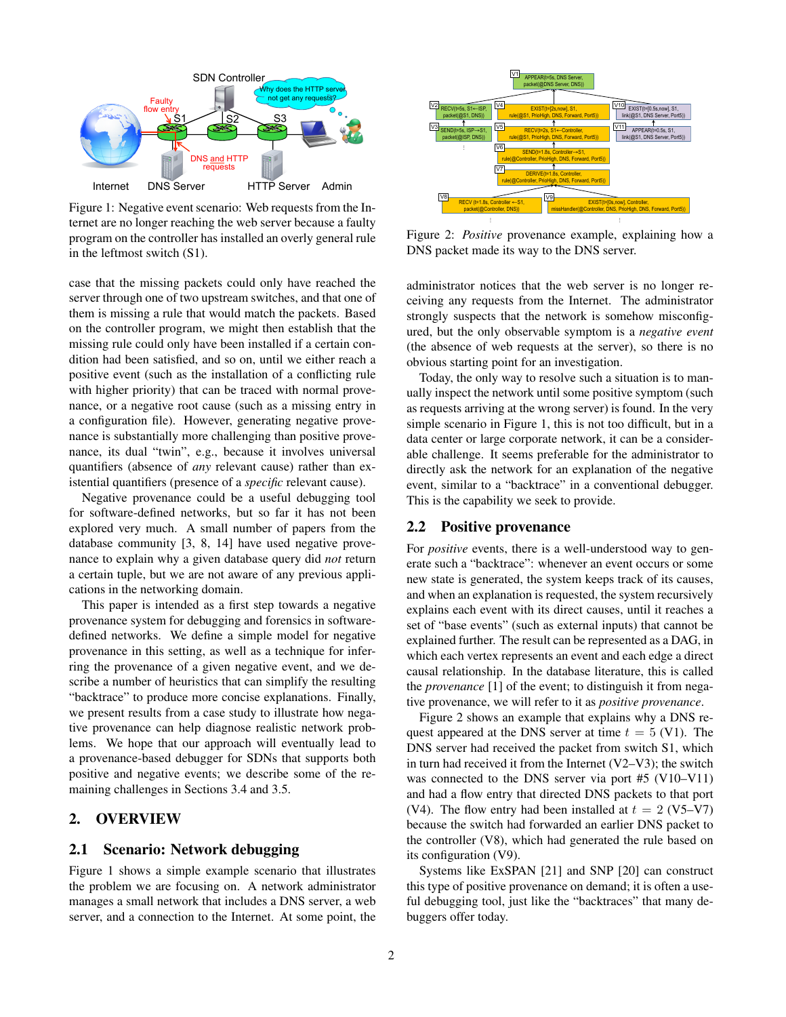<span id="page-1-0"></span>

Figure 1: Negative event scenario: Web requests from the Internet are no longer reaching the web server because a faulty program on the controller has installed an overly general rule in the leftmost switch (S1).

case that the missing packets could only have reached the server through one of two upstream switches, and that one of them is missing a rule that would match the packets. Based on the controller program, we might then establish that the missing rule could only have been installed if a certain condition had been satisfied, and so on, until we either reach a positive event (such as the installation of a conflicting rule with higher priority) that can be traced with normal provenance, or a negative root cause (such as a missing entry in a configuration file). However, generating negative provenance is substantially more challenging than positive provenance, its dual "twin", e.g., because it involves universal quantifiers (absence of *any* relevant cause) rather than existential quantifiers (presence of a *specific* relevant cause).

Negative provenance could be a useful debugging tool for software-defined networks, but so far it has not been explored very much. A small number of papers from the database community [\[3,](#page-6-9) [8,](#page-6-8) [14\]](#page-6-10) have used negative provenance to explain why a given database query did *not* return a certain tuple, but we are not aware of any previous applications in the networking domain.

This paper is intended as a first step towards a negative provenance system for debugging and forensics in softwaredefined networks. We define a simple model for negative provenance in this setting, as well as a technique for inferring the provenance of a given negative event, and we describe a number of heuristics that can simplify the resulting "backtrace" to produce more concise explanations. Finally, we present results from a case study to illustrate how negative provenance can help diagnose realistic network problems. We hope that our approach will eventually lead to a provenance-based debugger for SDNs that supports both positive and negative events; we describe some of the remaining challenges in Sections [3.4](#page-3-0) and [3.5.](#page-4-0)

# 2. OVERVIEW

### 2.1 Scenario: Network debugging

Figure [1](#page-1-0) shows a simple example scenario that illustrates the problem we are focusing on. A network administrator manages a small network that includes a DNS server, a web server, and a connection to the Internet. At some point, the

<span id="page-1-1"></span>

Figure 2: *Positive* provenance example, explaining how a DNS packet made its way to the DNS server.

administrator notices that the web server is no longer receiving any requests from the Internet. The administrator strongly suspects that the network is somehow misconfigured, but the only observable symptom is a *negative event* (the absence of web requests at the server), so there is no obvious starting point for an investigation.

Today, the only way to resolve such a situation is to manually inspect the network until some positive symptom (such as requests arriving at the wrong server) is found. In the very simple scenario in Figure [1,](#page-1-0) this is not too difficult, but in a data center or large corporate network, it can be a considerable challenge. It seems preferable for the administrator to directly ask the network for an explanation of the negative event, similar to a "backtrace" in a conventional debugger. This is the capability we seek to provide.

### 2.2 Positive provenance

For *positive* events, there is a well-understood way to generate such a "backtrace": whenever an event occurs or some new state is generated, the system keeps track of its causes, and when an explanation is requested, the system recursively explains each event with its direct causes, until it reaches a set of "base events" (such as external inputs) that cannot be explained further. The result can be represented as a DAG, in which each vertex represents an event and each edge a direct causal relationship. In the database literature, this is called the *provenance* [\[1\]](#page-6-7) of the event; to distinguish it from negative provenance, we will refer to it as *positive provenance*.

Figure [2](#page-1-1) shows an example that explains why a DNS request appeared at the DNS server at time  $t = 5$  (V1). The DNS server had received the packet from switch S1, which in turn had received it from the Internet (V2–V3); the switch was connected to the DNS server via port #5 (V10–V11) and had a flow entry that directed DNS packets to that port (V4). The flow entry had been installed at  $t = 2$  (V5–V7) because the switch had forwarded an earlier DNS packet to the controller (V8), which had generated the rule based on its configuration (V9).

Systems like ExSPAN [\[21\]](#page-6-11) and SNP [\[20\]](#page-6-6) can construct this type of positive provenance on demand; it is often a useful debugging tool, just like the "backtraces" that many debuggers offer today.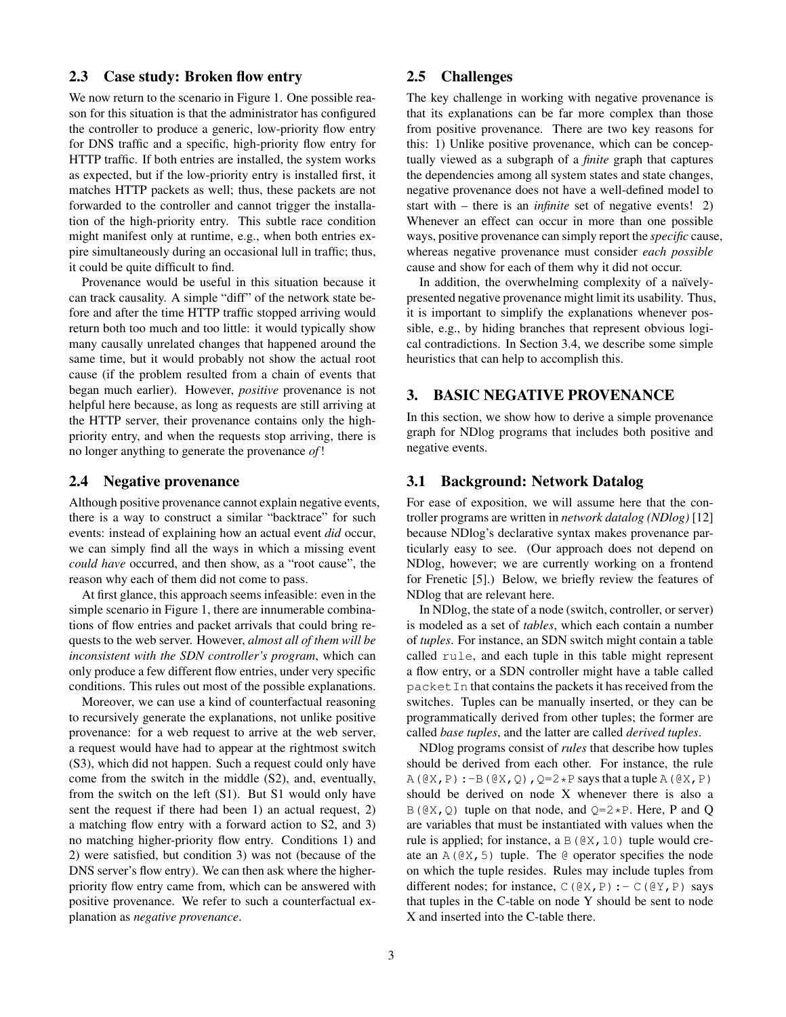### <span id="page-2-1"></span>2.3 Case study: Broken flow entry

We now return to the scenario in Figure [1.](#page-1-0) One possible reason for this situation is that the administrator has configured the controller to produce a generic, low-priority flow entry for DNS traffic and a specific, high-priority flow entry for HTTP traffic. If both entries are installed, the system works as expected, but if the low-priority entry is installed first, it matches HTTP packets as well; thus, these packets are not forwarded to the controller and cannot trigger the installation of the high-priority entry. This subtle race condition might manifest only at runtime, e.g., when both entries expire simultaneously during an occasional lull in traffic; thus, it could be quite difficult to find.

Provenance would be useful in this situation because it can track causality. A simple "diff" of the network state before and after the time HTTP traffic stopped arriving would return both too much and too little: it would typically show many causally unrelated changes that happened around the same time, but it would probably not show the actual root cause (if the problem resulted from a chain of events that began much earlier). However, *positive* provenance is not helpful here because, as long as requests are still arriving at the HTTP server, their provenance contains only the highpriority entry, and when the requests stop arriving, there is no longer anything to generate the provenance *of*!

### 2.4 Negative provenance

Although positive provenance cannot explain negative events, there is a way to construct a similar "backtrace" for such events: instead of explaining how an actual event *did* occur, we can simply find all the ways in which a missing event *could have* occurred, and then show, as a "root cause", the reason why each of them did not come to pass.

At first glance, this approach seems infeasible: even in the simple scenario in Figure [1,](#page-1-0) there are innumerable combinations of flow entries and packet arrivals that could bring requests to the web server. However, *almost all of them will be inconsistent with the SDN controller's program*, which can only produce a few different flow entries, under very specific conditions. This rules out most of the possible explanations.

Moreover, we can use a kind of counterfactual reasoning to recursively generate the explanations, not unlike positive provenance: for a web request to arrive at the web server, a request would have had to appear at the rightmost switch (S3), which did not happen. Such a request could only have come from the switch in the middle (S2), and, eventually, from the switch on the left (S1). But S1 would only have sent the request if there had been 1) an actual request, 2) a matching flow entry with a forward action to S2, and 3) no matching higher-priority flow entry. Conditions 1) and 2) were satisfied, but condition 3) was not (because of the DNS server's flow entry). We can then ask where the higherpriority flow entry came from, which can be answered with positive provenance. We refer to such a counterfactual explanation as *negative provenance*.

### 2.5 Challenges

The key challenge in working with negative provenance is that its explanations can be far more complex than those from positive provenance. There are two key reasons for this: 1) Unlike positive provenance, which can be conceptually viewed as a subgraph of a *finite* graph that captures the dependencies among all system states and state changes, negative provenance does not have a well-defined model to start with – there is an *infinite* set of negative events! 2) Whenever an effect can occur in more than one possible ways, positive provenance can simply report the *specific* cause, whereas negative provenance must consider *each possible* cause and show for each of them why it did not occur.

In addition, the overwhelming complexity of a naïvelypresented negative provenance might limit its usability. Thus, it is important to simplify the explanations whenever possible, e.g., by hiding branches that represent obvious logical contradictions. In Section [3.4,](#page-3-0) we describe some simple heuristics that can help to accomplish this.

# <span id="page-2-0"></span>3. BASIC NEGATIVE PROVENANCE

In this section, we show how to derive a simple provenance graph for NDlog programs that includes both positive and negative events.

### 3.1 Background: Network Datalog

For ease of exposition, we will assume here that the controller programs are written in *network datalog (NDlog)* [\[12\]](#page-6-12) because NDlog's declarative syntax makes provenance particularly easy to see. (Our approach does not depend on NDlog, however; we are currently working on a frontend for Frenetic [\[5\]](#page-6-13).) Below, we briefly review the features of NDlog that are relevant here.

In NDlog, the state of a node (switch, controller, or server) is modeled as a set of *tables*, which each contain a number of *tuples*. For instance, an SDN switch might contain a table called rule, and each tuple in this table might represent a flow entry, or a SDN controller might have a table called packetIn that contains the packets it has received from the switches. Tuples can be manually inserted, or they can be programmatically derived from other tuples; the former are called *base tuples*, and the latter are called *derived tuples*.

NDlog programs consist of *rules* that describe how tuples should be derived from each other. For instance, the rule A( $(X, P)$ : -B( $(X, Q)$ ,  $Q=2*P$  says that a tuple A( $(X, P)$ ) should be derived on node X whenever there is also a  $B(\& Q, Q)$  tuple on that node, and  $Q=2*P$ . Here, P and Q are variables that must be instantiated with values when the rule is applied; for instance, a  $B(\&0; 10)$  tuple would create an  $A(\&0, 5)$  tuple. The  $\&0$  operator specifies the node on which the tuple resides. Rules may include tuples from different nodes; for instance,  $C(\mathbb{Q}X,\mathbb{P}) : C(\mathbb{Q}Y,\mathbb{P})$  says that tuples in the C-table on node Y should be sent to node X and inserted into the C-table there.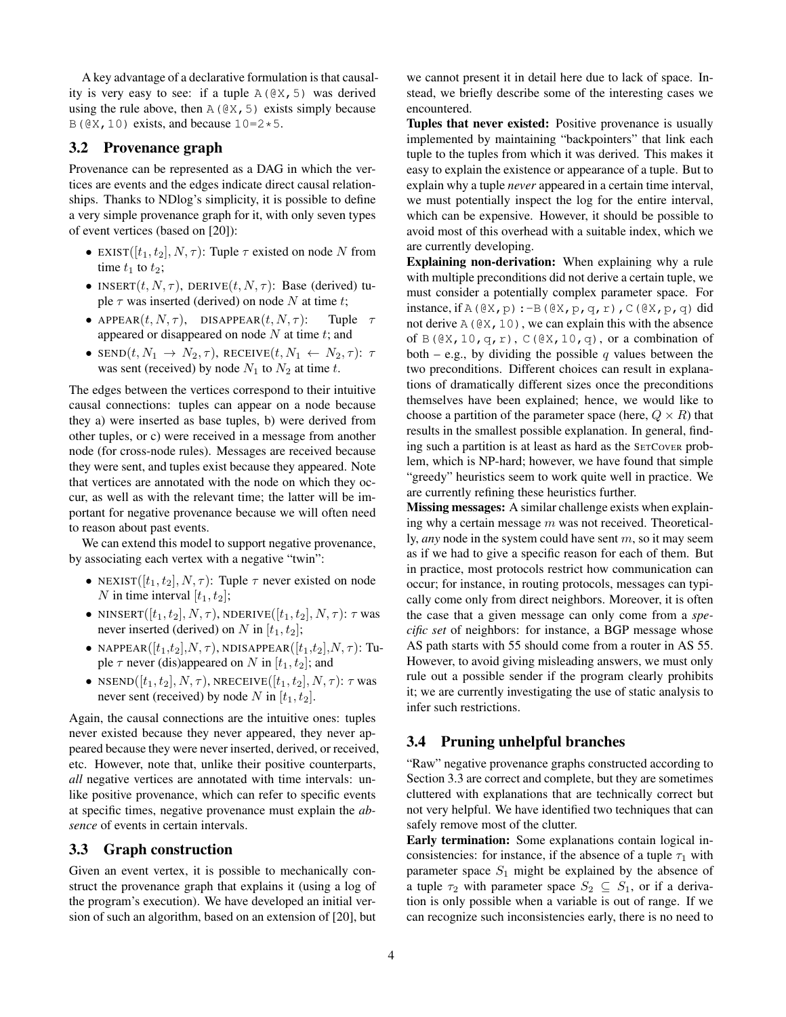A key advantage of a declarative formulation is that causality is very easy to see: if a tuple  $A(\×, 5)$  was derived using the rule above, then  $A(\&0, 5)$  exists simply because B( $(X, 10)$ ) exists, and because  $10=2*5$ .

### 3.2 Provenance graph

Provenance can be represented as a DAG in which the vertices are events and the edges indicate direct causal relationships. Thanks to NDlog's simplicity, it is possible to define a very simple provenance graph for it, with only seven types of event vertices (based on [\[20\]](#page-6-6)):

- EXIST( $[t_1, t_2]$ ,  $N, \tau$ ): Tuple  $\tau$  existed on node N from time  $t_1$  to  $t_2$ ;
- INSERT $(t, N, \tau)$ , DERIVE $(t, N, \tau)$ : Base (derived) tuple  $\tau$  was inserted (derived) on node N at time t;
- APPEAR $(t, N, \tau)$ , DISAPPEAR $(t, N, \tau)$ : Tuple  $\tau$ appeared or disappeared on node  $N$  at time  $t$ ; and
- SEND $(t, N_1 \rightarrow N_2, \tau)$ , RECEIVE $(t, N_1 \leftarrow N_2, \tau)$ :  $\tau$ was sent (received) by node  $N_1$  to  $N_2$  at time t.

The edges between the vertices correspond to their intuitive causal connections: tuples can appear on a node because they a) were inserted as base tuples, b) were derived from other tuples, or c) were received in a message from another node (for cross-node rules). Messages are received because they were sent, and tuples exist because they appeared. Note that vertices are annotated with the node on which they occur, as well as with the relevant time; the latter will be important for negative provenance because we will often need to reason about past events.

We can extend this model to support negative provenance, by associating each vertex with a negative "twin":

- NEXIST( $[t_1, t_2]$ , N,  $\tau$ ): Tuple  $\tau$  never existed on node N in time interval  $[t_1, t_2]$ ;
- NINSERT $([t_1, t_2], N, \tau)$ , NDERIVE $([t_1, t_2], N, \tau)$ :  $\tau$  was never inserted (derived) on N in  $[t_1, t_2]$ ;
- NAPPEAR $([t_1,t_2],N,\tau)$ , NDISAPPEAR $([t_1,t_2],N,\tau)$ : Tuple  $\tau$  never (dis)appeared on N in  $[t_1, t_2]$ ; and
- NSEND $([t_1, t_2], N, \tau)$ , NRECEIVE $([t_1, t_2], N, \tau)$ :  $\tau$  was never sent (received) by node N in  $[t_1, t_2]$ .

Again, the causal connections are the intuitive ones: tuples never existed because they never appeared, they never appeared because they were never inserted, derived, or received, etc. However, note that, unlike their positive counterparts, *all* negative vertices are annotated with time intervals: unlike positive provenance, which can refer to specific events at specific times, negative provenance must explain the *absence* of events in certain intervals.

### <span id="page-3-1"></span>3.3 Graph construction

Given an event vertex, it is possible to mechanically construct the provenance graph that explains it (using a log of the program's execution). We have developed an initial version of such an algorithm, based on an extension of [\[20\]](#page-6-6), but we cannot present it in detail here due to lack of space. Instead, we briefly describe some of the interesting cases we encountered.

Tuples that never existed: Positive provenance is usually implemented by maintaining "backpointers" that link each tuple to the tuples from which it was derived. This makes it easy to explain the existence or appearance of a tuple. But to explain why a tuple *never* appeared in a certain time interval, we must potentially inspect the log for the entire interval, which can be expensive. However, it should be possible to avoid most of this overhead with a suitable index, which we are currently developing.

Explaining non-derivation: When explaining why a rule with multiple preconditions did not derive a certain tuple, we must consider a potentially complex parameter space. For instance, if  $A(\×, p)$ : -B( $\×, p, q, r$ ), C( $\×, p, q$ ) did not derive  $A(@X,10)$ , we can explain this with the absence of  $B(\& (X, 10, q, r), C(\& X, 10, q),$  or a combination of both – e.g., by dividing the possible q values between the two preconditions. Different choices can result in explanations of dramatically different sizes once the preconditions themselves have been explained; hence, we would like to choose a partition of the parameter space (here,  $Q \times R$ ) that results in the smallest possible explanation. In general, finding such a partition is at least as hard as the SETCOVER problem, which is NP-hard; however, we have found that simple "greedy" heuristics seem to work quite well in practice. We are currently refining these heuristics further.

Missing messages: A similar challenge exists when explaining why a certain message  $m$  was not received. Theoretically, *any* node in the system could have sent m, so it may seem as if we had to give a specific reason for each of them. But in practice, most protocols restrict how communication can occur; for instance, in routing protocols, messages can typically come only from direct neighbors. Moreover, it is often the case that a given message can only come from a *specific set* of neighbors: for instance, a BGP message whose AS path starts with 55 should come from a router in AS 55. However, to avoid giving misleading answers, we must only rule out a possible sender if the program clearly prohibits it; we are currently investigating the use of static analysis to infer such restrictions.

### <span id="page-3-0"></span>3.4 Pruning unhelpful branches

"Raw" negative provenance graphs constructed according to Section [3.3](#page-3-1) are correct and complete, but they are sometimes cluttered with explanations that are technically correct but not very helpful. We have identified two techniques that can safely remove most of the clutter.

Early termination: Some explanations contain logical inconsistencies: for instance, if the absence of a tuple  $\tau_1$  with parameter space  $S_1$  might be explained by the absence of a tuple  $\tau_2$  with parameter space  $S_2 \subseteq S_1$ , or if a derivation is only possible when a variable is out of range. If we can recognize such inconsistencies early, there is no need to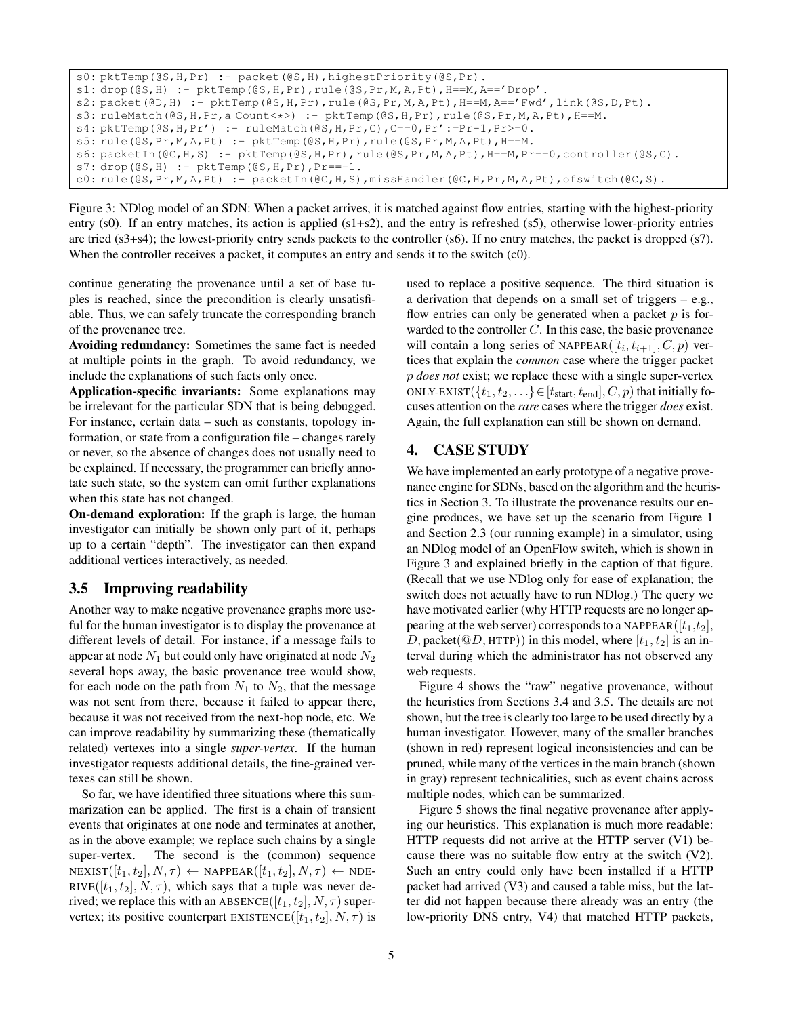```
s0: pktTemp(@S, H, Pr) :- packet(@S, H), highestPriority(@S, Pr).
s1: drop(@S,H) :- pktTemp(@S,H,Pr),rule(@S,Pr,M,A,Pt),H==M,A=='Drop'.
s2: packet(@D,H) :- pktTemp(@S,H,Pr),rule(@S,Pr,M,A,Pt),H==M,A=='Fwd',link(@S,D,Pt).
s3: ruleMatch(@S,H,Pr,a_Count<*>) :- pktTemp(@S,H,Pr),rule(@S,Pr,M,A,Pt),H==M.
s4: pktTemp(\Theta S, H, Pr') :- ruleMatch(\Theta S, H, Pr, C), C==0, Pr':=Pr-1, Pr>=0.s5: rule(@S,Pr,M,A,Pt) :- pktTemp(@S,H,Pr),rule(@S,Pr,M,A,Pt),H==M.
s6: packetIn(@C,H,S) :- pktTemp(@S,H,Pr),rule(@S,Pr,M,A,Pt),H==M,Pr==0,controller(@S,C).
s7: drop(GS,H) :- pktemp(GS,H,Pr), Pr=-1.c0: rule(@S,Pr,M,A,Pt) :- packetIn(@C,H,S),missHandler(@C,H,Pr,M,A,Pt),ofswitch(@C,S).
```
Figure 3: NDlog model of an SDN: When a packet arrives, it is matched against flow entries, starting with the highest-priority entry (s0). If an entry matches, its action is applied  $(s1+s2)$ , and the entry is refreshed (s5), otherwise lower-priority entries are tried (s3+s4); the lowest-priority entry sends packets to the controller (s6). If no entry matches, the packet is dropped (s7). When the controller receives a packet, it computes an entry and sends it to the switch (c0).

continue generating the provenance until a set of base tuples is reached, since the precondition is clearly unsatisfiable. Thus, we can safely truncate the corresponding branch of the provenance tree.

Avoiding redundancy: Sometimes the same fact is needed at multiple points in the graph. To avoid redundancy, we include the explanations of such facts only once.

Application-specific invariants: Some explanations may be irrelevant for the particular SDN that is being debugged. For instance, certain data – such as constants, topology information, or state from a configuration file – changes rarely or never, so the absence of changes does not usually need to be explained. If necessary, the programmer can briefly annotate such state, so the system can omit further explanations when this state has not changed.

On-demand exploration: If the graph is large, the human investigator can initially be shown only part of it, perhaps up to a certain "depth". The investigator can then expand additional vertices interactively, as needed.

### <span id="page-4-0"></span>3.5 Improving readability

Another way to make negative provenance graphs more useful for the human investigator is to display the provenance at different levels of detail. For instance, if a message fails to appear at node  $N_1$  but could only have originated at node  $N_2$ several hops away, the basic provenance tree would show, for each node on the path from  $N_1$  to  $N_2$ , that the message was not sent from there, because it failed to appear there, because it was not received from the next-hop node, etc. We can improve readability by summarizing these (thematically related) vertexes into a single *super-vertex*. If the human investigator requests additional details, the fine-grained vertexes can still be shown.

So far, we have identified three situations where this summarization can be applied. The first is a chain of transient events that originates at one node and terminates at another, as in the above example; we replace such chains by a single super-vertex. The second is the (common) sequence  $NEXIST([t_1, t_2], N, \tau) \leftarrow NAPPEAR([t_1, t_2], N, \tau) \leftarrow NDE$ RIVE( $[t_1, t_2]$ ,  $N, \tau$ ), which says that a tuple was never derived; we replace this with an ABSENCE([ $t_1, t_2$ ],  $N, \tau$ ) supervertex; its positive counterpart EXISTENCE( $[t_1, t_2]$ ,  $N, \tau$ ) is used to replace a positive sequence. The third situation is a derivation that depends on a small set of triggers – e.g., flow entries can only be generated when a packet  $p$  is forwarded to the controller  $C$ . In this case, the basic provenance will contain a long series of NAPPEAR( $[t_i, t_{i+1}], C, p$ ) vertices that explain the *common* case where the trigger packet p *does not* exist; we replace these with a single super-vertex ONLY-EXIST $({t_1, t_2, \ldots} \in [t_{start}, t_{end}], C, p)$  that initially focuses attention on the *rare* cases where the trigger *does* exist. Again, the full explanation can still be shown on demand.

### 4. CASE STUDY

We have implemented an early prototype of a negative provenance engine for SDNs, based on the algorithm and the heuristics in Section [3.](#page-2-0) To illustrate the provenance results our engine produces, we have set up the scenario from Figure [1](#page-1-0) and Section [2.3](#page-2-1) (our running example) in a simulator, using an NDlog model of an OpenFlow switch, which is shown in Figure [3](#page-4-1) and explained briefly in the caption of that figure. (Recall that we use NDlog only for ease of explanation; the switch does not actually have to run NDlog.) The query we have motivated earlier (why HTTP requests are no longer appearing at the web server) corresponds to a NAPPEAR( $[t_1,t_2]$ , D, packet( $\mathcal{Q}(D, HTTP)$ ) in this model, where  $[t_1, t_2]$  is an interval during which the administrator has not observed any web requests.

Figure [4](#page-5-0) shows the "raw" negative provenance, without the heuristics from Sections [3.4](#page-3-0) and [3.5.](#page-4-0) The details are not shown, but the tree is clearly too large to be used directly by a human investigator. However, many of the smaller branches (shown in red) represent logical inconsistencies and can be pruned, while many of the vertices in the main branch (shown in gray) represent technicalities, such as event chains across multiple nodes, which can be summarized.

Figure [5](#page-5-1) shows the final negative provenance after applying our heuristics. This explanation is much more readable: HTTP requests did not arrive at the HTTP server (V1) because there was no suitable flow entry at the switch (V2). Such an entry could only have been installed if a HTTP packet had arrived (V3) and caused a table miss, but the latter did not happen because there already was an entry (the low-priority DNS entry, V4) that matched HTTP packets,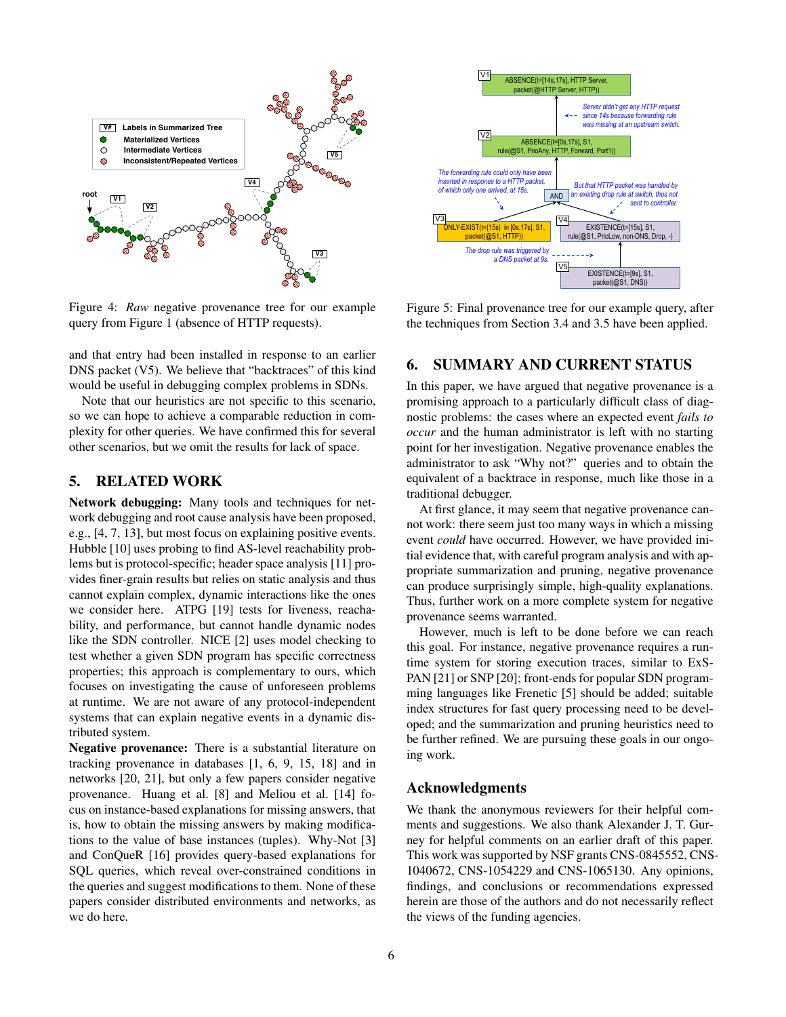<span id="page-5-0"></span>

Figure 4: *Raw* negative provenance tree for our example query from Figure [1](#page-1-0) (absence of HTTP requests).

and that entry had been installed in response to an earlier DNS packet (V5). We believe that "backtraces" of this kind would be useful in debugging complex problems in SDNs.

Note that our heuristics are not specific to this scenario, so we can hope to achieve a comparable reduction in complexity for other queries. We have confirmed this for several other scenarios, but we omit the results for lack of space.

### 5. RELATED WORK

Network debugging: Many tools and techniques for network debugging and root cause analysis have been proposed, e.g., [\[4,](#page-6-0) [7,](#page-6-1) [13\]](#page-6-4), but most focus on explaining positive events. Hubble [\[10\]](#page-6-2) uses probing to find AS-level reachability problems but is protocol-specific; header space analysis [\[11\]](#page-6-3) provides finer-grain results but relies on static analysis and thus cannot explain complex, dynamic interactions like the ones we consider here. ATPG [\[19\]](#page-6-14) tests for liveness, reachability, and performance, but cannot handle dynamic nodes like the SDN controller. NICE [\[2\]](#page-6-15) uses model checking to test whether a given SDN program has specific correctness properties; this approach is complementary to ours, which focuses on investigating the cause of unforeseen problems at runtime. We are not aware of any protocol-independent systems that can explain negative events in a dynamic distributed system.

Negative provenance: There is a substantial literature on tracking provenance in databases [\[1,](#page-6-7) [6,](#page-6-16) [9,](#page-6-17) [15,](#page-6-18) [18\]](#page-6-19) and in networks [\[20,](#page-6-6) [21\]](#page-6-11), but only a few papers consider negative provenance. Huang et al. [\[8\]](#page-6-8) and Meliou et al. [\[14\]](#page-6-10) focus on instance-based explanations for missing answers, that is, how to obtain the missing answers by making modifications to the value of base instances (tuples). Why-Not [\[3\]](#page-6-9) and ConQueR [\[16\]](#page-6-20) provides query-based explanations for SQL queries, which reveal over-constrained conditions in the queries and suggest modifications to them. None of these papers consider distributed environments and networks, as we do here.

<span id="page-5-1"></span>

Figure 5: Final provenance tree for our example query, after the techniques from Section [3.4](#page-3-0) and [3.5](#page-4-0) have been applied.

### 6. SUMMARY AND CURRENT STATUS

In this paper, we have argued that negative provenance is a promising approach to a particularly difficult class of diagnostic problems: the cases where an expected event *fails to occur* and the human administrator is left with no starting point for her investigation. Negative provenance enables the administrator to ask "Why not?" queries and to obtain the equivalent of a backtrace in response, much like those in a traditional debugger.

At first glance, it may seem that negative provenance cannot work: there seem just too many ways in which a missing event *could* have occurred. However, we have provided initial evidence that, with careful program analysis and with appropriate summarization and pruning, negative provenance can produce surprisingly simple, high-quality explanations. Thus, further work on a more complete system for negative provenance seems warranted.

However, much is left to be done before we can reach this goal. For instance, negative provenance requires a runtime system for storing execution traces, similar to ExS-PAN [\[21\]](#page-6-11) or SNP [\[20\]](#page-6-6); front-ends for popular SDN programming languages like Frenetic [\[5\]](#page-6-13) should be added; suitable index structures for fast query processing need to be developed; and the summarization and pruning heuristics need to be further refined. We are pursuing these goals in our ongoing work.

#### Acknowledgments

We thank the anonymous reviewers for their helpful comments and suggestions. We also thank Alexander J. T. Gurney for helpful comments on an earlier draft of this paper. This work was supported by NSF grants CNS-0845552, CNS-1040672, CNS-1054229 and CNS-1065130. Any opinions, findings, and conclusions or recommendations expressed herein are those of the authors and do not necessarily reflect the views of the funding agencies.